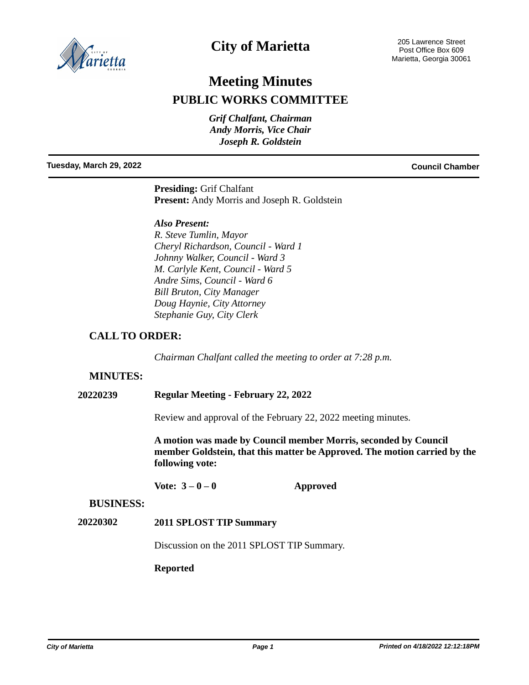

# **City of Marietta**

# **Meeting Minutes PUBLIC WORKS COMMITTEE**

*Grif Chalfant, Chairman Andy Morris, Vice Chair Joseph R. Goldstein*

**Tuesday, March 29, 2022 Council Chamber**

**Presiding:** Grif Chalfant **Present:** Andy Morris and Joseph R. Goldstein

#### *Also Present:*

*R. Steve Tumlin, Mayor Cheryl Richardson, Council - Ward 1 Johnny Walker, Council - Ward 3 M. Carlyle Kent, Council - Ward 5 Andre Sims, Council - Ward 6 Bill Bruton, City Manager Doug Haynie, City Attorney Stephanie Guy, City Clerk*

## **CALL TO ORDER:**

*Chairman Chalfant called the meeting to order at 7:28 p.m.*

## **MINUTES:**

#### **20220239 Regular Meeting - February 22, 2022**

Review and approval of the February 22, 2022 meeting minutes.

**A motion was made by Council member Morris, seconded by Council member Goldstein, that this matter be Approved. The motion carried by the following vote:**

Vote:  $3-0-0$  **Approved** 

#### **BUSINESS:**

#### **20220302 2011 SPLOST TIP Summary**

Discussion on the 2011 SPLOST TIP Summary.

#### **Reported**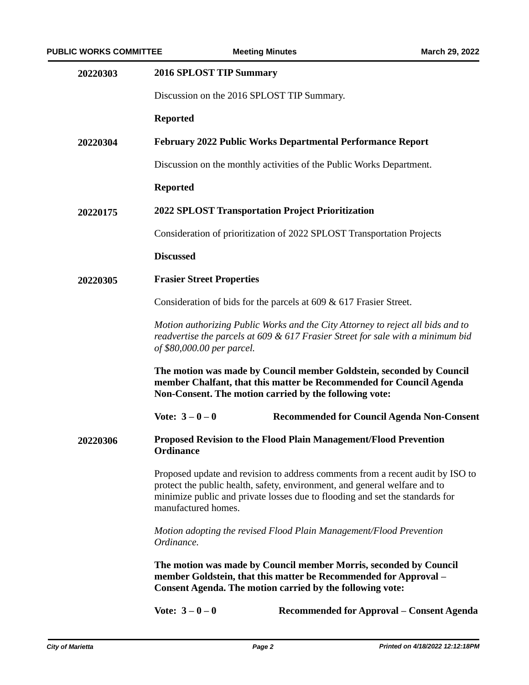| 20220303 | 2016 SPLOST TIP Summary                                                                                                                                                                                                                                             |  |  |
|----------|---------------------------------------------------------------------------------------------------------------------------------------------------------------------------------------------------------------------------------------------------------------------|--|--|
|          | Discussion on the 2016 SPLOST TIP Summary.                                                                                                                                                                                                                          |  |  |
|          | <b>Reported</b>                                                                                                                                                                                                                                                     |  |  |
| 20220304 | February 2022 Public Works Departmental Performance Report                                                                                                                                                                                                          |  |  |
|          | Discussion on the monthly activities of the Public Works Department.                                                                                                                                                                                                |  |  |
|          | <b>Reported</b>                                                                                                                                                                                                                                                     |  |  |
| 20220175 | <b>2022 SPLOST Transportation Project Prioritization</b>                                                                                                                                                                                                            |  |  |
|          | Consideration of prioritization of 2022 SPLOST Transportation Projects                                                                                                                                                                                              |  |  |
|          | <b>Discussed</b>                                                                                                                                                                                                                                                    |  |  |
| 20220305 | <b>Frasier Street Properties</b>                                                                                                                                                                                                                                    |  |  |
|          | Consideration of bids for the parcels at $609 \& 617$ Frasier Street.                                                                                                                                                                                               |  |  |
|          | Motion authorizing Public Works and the City Attorney to reject all bids and to<br>readvertise the parcels at 609 & 617 Frasier Street for sale with a minimum bid<br>of \$80,000.00 per parcel.                                                                    |  |  |
|          | The motion was made by Council member Goldstein, seconded by Council<br>member Chalfant, that this matter be Recommended for Council Agenda<br>Non-Consent. The motion carried by the following vote:                                                               |  |  |
|          | Vote: $3 - 0 - 0$<br><b>Recommended for Council Agenda Non-Consent</b>                                                                                                                                                                                              |  |  |
| 20220306 | <b>Proposed Revision to the Flood Plain Management/Flood Prevention</b><br>Ordinance                                                                                                                                                                                |  |  |
|          | Proposed update and revision to address comments from a recent audit by ISO to<br>protect the public health, safety, environment, and general welfare and to<br>minimize public and private losses due to flooding and set the standards for<br>manufactured homes. |  |  |
|          | Motion adopting the revised Flood Plain Management/Flood Prevention<br>Ordinance.                                                                                                                                                                                   |  |  |
|          | The motion was made by Council member Morris, seconded by Council<br>member Goldstein, that this matter be Recommended for Approval –<br><b>Consent Agenda. The motion carried by the following vote:</b>                                                           |  |  |
|          | Vote: $3 - 0 - 0$<br><b>Recommended for Approval – Consent Agenda</b>                                                                                                                                                                                               |  |  |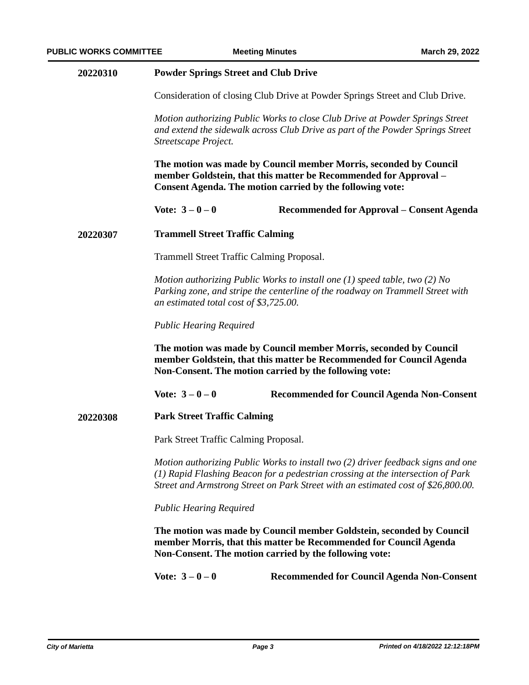| 20220310 | <b>Powder Springs Street and Club Drive</b> |  |
|----------|---------------------------------------------|--|
|----------|---------------------------------------------|--|

Consideration of closing Club Drive at Powder Springs Street and Club Drive.

*Motion authorizing Public Works to close Club Drive at Powder Springs Street and extend the sidewalk across Club Drive as part of the Powder Springs Street Streetscape Project.*

**The motion was made by Council member Morris, seconded by Council member Goldstein, that this matter be Recommended for Approval – Consent Agenda. The motion carried by the following vote:**

```
Vote: 3 – 0 – 0 Recommended for Approval – Consent Agenda
```
#### **20220307 Trammell Street Traffic Calming**

Trammell Street Traffic Calming Proposal.

*Motion authorizing Public Works to install one (1) speed table, two (2) No Parking zone, and stripe the centerline of the roadway on Trammell Street with an estimated total cost of \$3,725.00.*

*Public Hearing Required*

**The motion was made by Council member Morris, seconded by Council member Goldstein, that this matter be Recommended for Council Agenda Non-Consent. The motion carried by the following vote:**

**Vote: 3 – 0 – 0 Recommended for Council Agenda Non-Consent**

**20220308 Park Street Traffic Calming**

Park Street Traffic Calming Proposal.

*Motion authorizing Public Works to install two (2) driver feedback signs and one (1) Rapid Flashing Beacon for a pedestrian crossing at the intersection of Park Street and Armstrong Street on Park Street with an estimated cost of \$26,800.00.*

*Public Hearing Required*

**The motion was made by Council member Goldstein, seconded by Council member Morris, that this matter be Recommended for Council Agenda Non-Consent. The motion carried by the following vote:**

**Vote: 3 – 0 – 0 Recommended for Council Agenda Non-Consent**